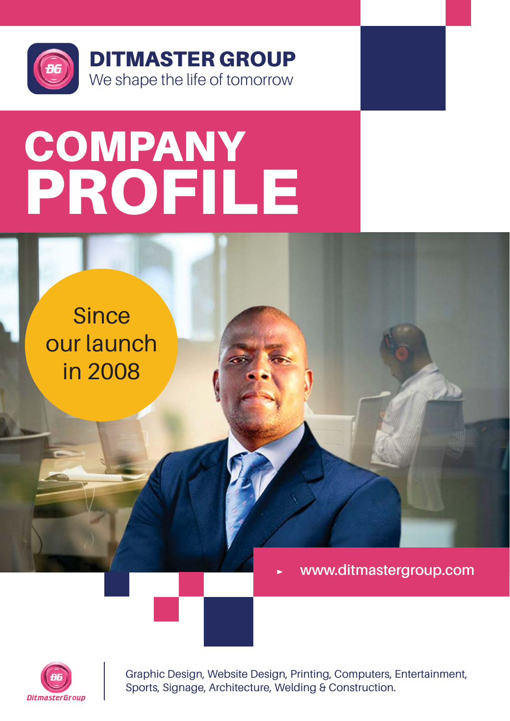

# **COMPANY** PROFILE

**Since** our launch in 2008

**www.ditmastergroup.com**



Graphic Design, Website Design, Printing, Computers, Entertainment, Sports, Signage, Architecture, Welding & Construction.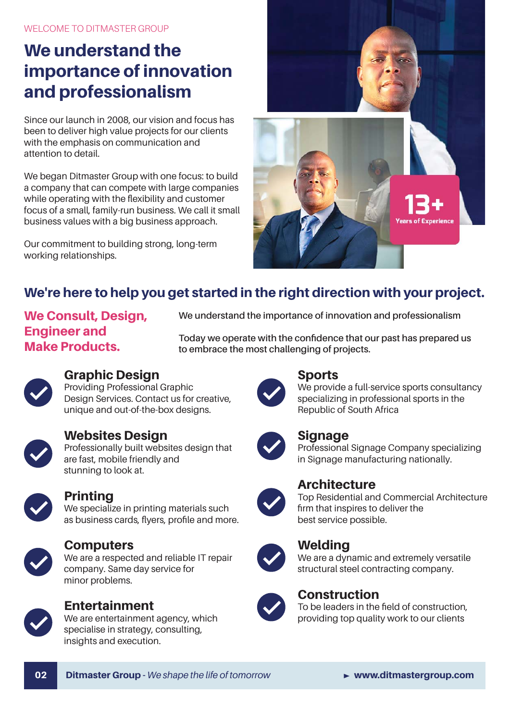WELCOME TO DITMASTER GROUP

### We understand the importance of innovation and professionalism

Since our launch in 2008, our vision and focus has been to deliver high value projects for our clients with the emphasis on communication and attention to detail.

We began Ditmaster Group with one focus: to build a company that can compete with large companies while operating with the flexibility and customer focus of a small, family-run business. We call it small business values with a big business approach.

Our commitment to building strong, long-term working relationships.



#### We're here to help you get started in the right direction with your project.

#### We Consult, Desian, Engineer and Make Products.

**We understand the importance of innovation and professionalism**

**Today we operate with the confidence that our past has prepared us to embrace the most challenging of projects.**



#### Graphic Design

Providing Professional Graphic Design Services. Contact us for creative, unique and out-of-the-box designs.



#### Websites Design

Professionally built websites design that are fast, mobile friendly and stunning to look at.



#### Printing

We specialize in printing materials such as business cards, flyers, profile and more.



#### **Computers**

We are a respected and reliable IT repair company. Same day service for minor problems.



#### Entertainment

We are entertainment agency, which specialise in strategy, consulting, insights and execution.



#### Sports

We provide a full-service sports consultancy specializing in professional sports in the Republic of South Africa



#### **Signage**

Professional Signage Company specializing in Signage manufacturing nationally.



#### **Architecture**

Top Residential and Commercial Architecture firm that inspires to deliver the best service possible.

#### Welding



We are a dynamic and extremely versatile structural steel contracting company.



#### **Construction**

To be leaders in the field of construction, providing top quality work to our clients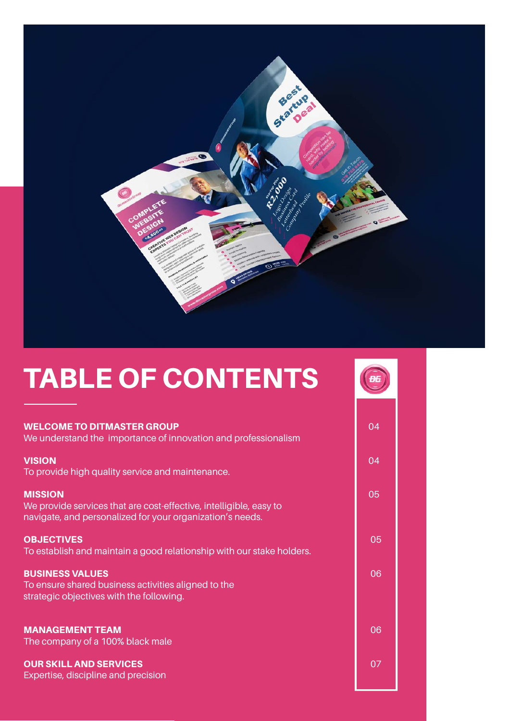

**B6** 

### TABLE OF CONTENTS

| <b>WELCOME TO DITMASTER GROUP</b><br>We understand the importance of innovation and professionalism                                               | 04 |
|---------------------------------------------------------------------------------------------------------------------------------------------------|----|
| <b>VISION</b>                                                                                                                                     | 04 |
| To provide high quality service and maintenance.                                                                                                  |    |
| <b>MISSION</b><br>We provide services that are cost-effective, intelligible, easy to<br>navigate, and personalized for your organization's needs. | 05 |
| <b>OBJECTIVES</b><br>To establish and maintain a good relationship with our stake holders.                                                        | 05 |
| <b>BUSINESS VALUES</b><br>To ensure shared business activities aligned to the<br>strategic objectives with the following.                         | 06 |
| <b>MANAGEMENT TEAM</b><br>The company of a 100% black male                                                                                        | 06 |
| <b>OUR SKILL AND SERVICES</b><br>Expertise, discipline and precision                                                                              | 07 |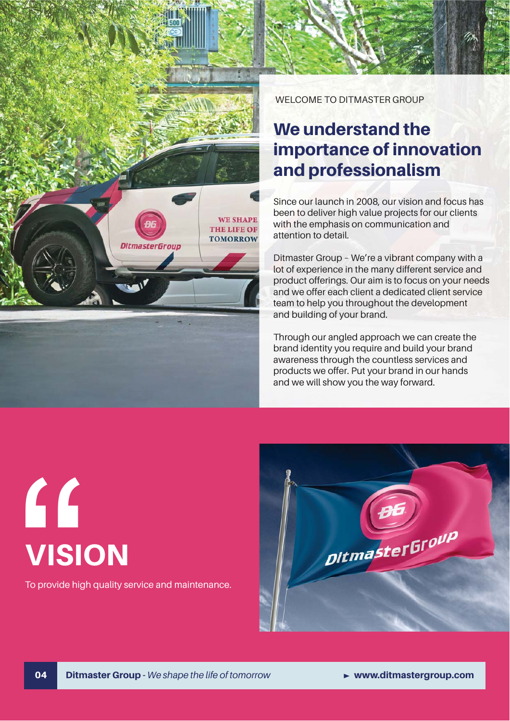

WELCOME TO DITMASTER GROUP

### We understand the importance of innovation and professionalism

Since our launch in 2008, our vision and focus has been to deliver high value projects for our clients with the emphasis on communication and attention to detail.

Ditmaster Group – We're a vibrant company with a lot of experience in the many different service and product offerings. Our aim is to focus on your needs and we offer each client a dedicated client service team to help you throughout the development and building of your brand.

Through our angled approach we can create the brand identity you require and build your brand awareness through the countless services and products we offer. Put your brand in our hands and we will show you the way forward.

# " **VISION**

To provide high quality service and maintenance.

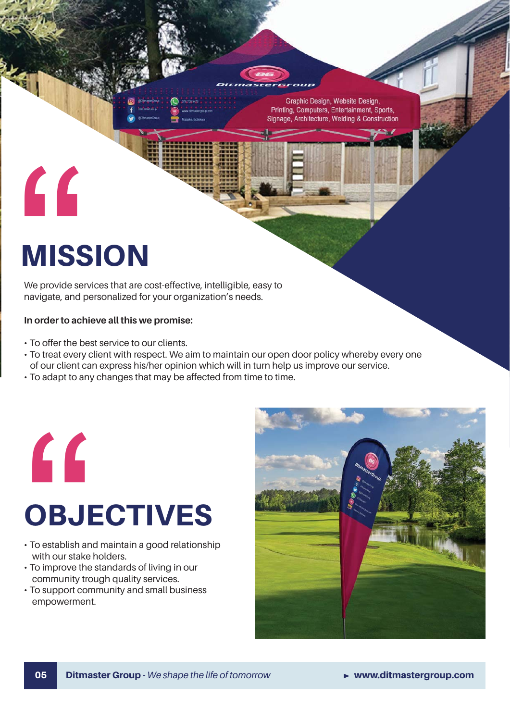

Graphic Design, Website Design Printing, Computers, Entertainment, Sports, Signage, Architecture, Welding & Construction

# MISSION

"

We provide services that are cost-effective, intelligible, easy to navigate, and personalized for your organization's needs.

#### **In order to achieve all this we promise:**

- To offer the best service to our clients.
- To treat every client with respect. We aim to maintain our open door policy whereby every one of our client can express his/her opinion which will in turn help us improve our service.
- To adapt to any changes that may be affected from time to time.



## **OBJECTIVES**

- To establish and maintain a good relationship with our stake holders.
- To improve the standards of living in our community trough quality services.
- To support community and small business empowerment.

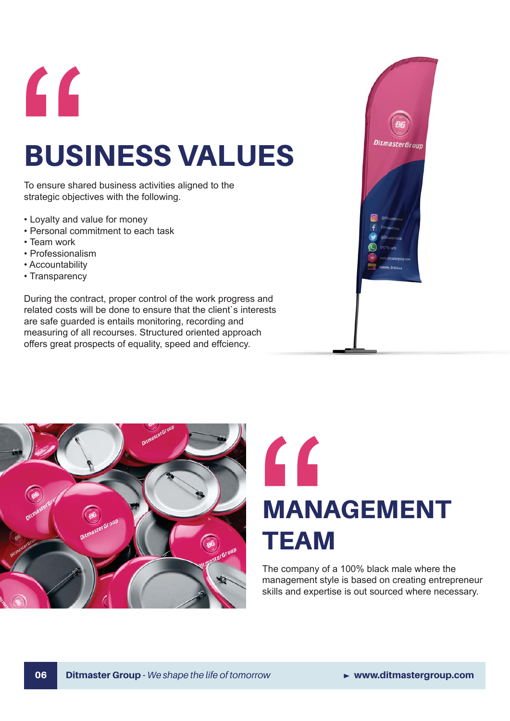

## BUSINESS VALUES

To ensure shared business activities aligned to the strategic objectives with the following.

- Loyalty and value for money
- Personal commitment to each task
- Team work
- Professionalism
- Accountability
- Transparency

During the contract, proper control of the work progress and related costs will be done to ensure that the client`s interests are safe guarded is entails monitoring, recording and measuring of all recourses. Structured oriented approach offers great prospects of equality, speed and effciency.







The company of a 100% black male where the management style is based on creating entrepreneur skills and expertise is out sourced where necessary.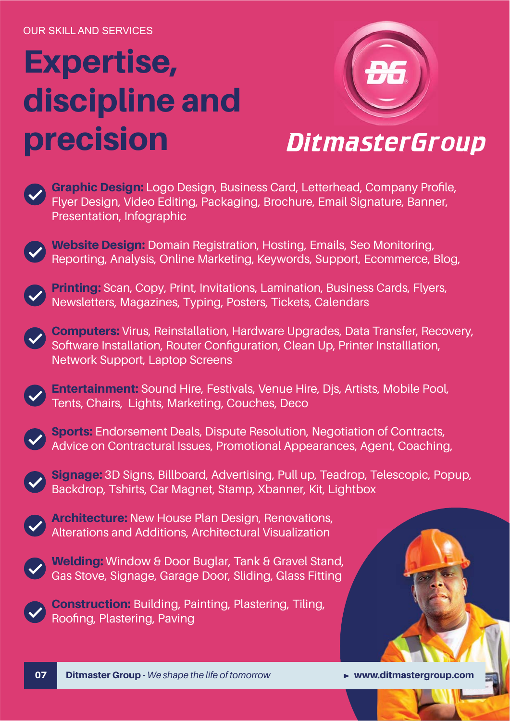# Expertise, discipline and precision



### **DitmasterGroup**